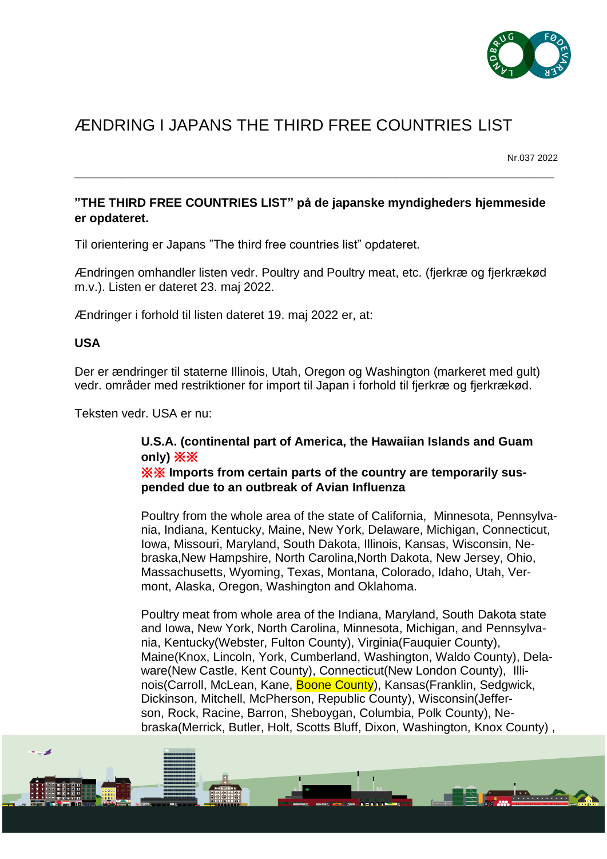

## ÆNDRING I JAPANS THE THIRD FREE COUNTRIES LIST

Nr.037 2022

 $\mathbf{H}$  , and  $\mathbf{H}$ 

## **"THE THIRD FREE COUNTRIES LIST" på de japanske myndigheders hjemmeside er opdateret.**

\_\_\_\_\_\_\_\_\_\_\_\_\_\_\_\_\_\_\_\_\_\_\_\_\_\_\_\_\_\_\_\_\_\_\_\_\_\_\_\_\_\_\_\_\_\_\_\_\_\_\_\_\_\_\_\_\_\_\_\_\_\_\_\_\_\_\_\_\_\_\_\_\_\_\_\_\_\_\_\_\_\_\_\_\_\_\_\_\_\_\_\_\_\_

Til orientering er Japans "The third free countries list" opdateret.

Ændringen omhandler listen vedr. Poultry and Poultry meat, etc. (fjerkræ og fjerkrækød m.v.). Listen er dateret 23. maj 2022.

Ændringer i forhold til listen dateret 19. maj 2022 er, at:

## **USA**

فيرد

Der er ændringer til staterne Illinois, Utah, Oregon og Washington (markeret med gult) vedr. områder med restriktioner for import til Japan i forhold til fjerkræ og fjerkrækød.

Teksten vedr. USA er nu:

## **U.S.A. (continental part of America, the Hawaiian Islands and Guam only)** ※※

※※ **Imports from certain parts of the country are temporarily suspended due to an outbreak of Avian Influenza**

Poultry from the whole area of the state of California, Minnesota, Pennsylvania, Indiana, Kentucky, Maine, New York, Delaware, Michigan, Connecticut, Iowa, Missouri, Maryland, South Dakota, Illinois, Kansas, Wisconsin, Nebraska,New Hampshire, North Carolina,North Dakota, New Jersey, Ohio, Massachusetts, Wyoming, Texas, Montana, Colorado, Idaho, Utah, Vermont, Alaska, Oregon, Washington and Oklahoma.

Poultry meat from whole area of the Indiana, Maryland, South Dakota state and Iowa, New York, North Carolina, Minnesota, Michigan, and Pennsylvania, Kentucky(Webster, Fulton County), Virginia(Fauquier County), Maine(Knox, Lincoln, York, Cumberland, Washington, Waldo County), Delaware(New Castle, Kent County), Connecticut(New London County), Illinois(Carroll, McLean, Kane, Boone County), Kansas(Franklin, Sedgwick, Dickinson, Mitchell, McPherson, Republic County), Wisconsin(Jefferson, Rock, Racine, Barron, Sheboygan, Columbia, Polk County), Nebraska(Merrick, Butler, Holt, Scotts Bluff, Dixon, Washington, Knox County) ,